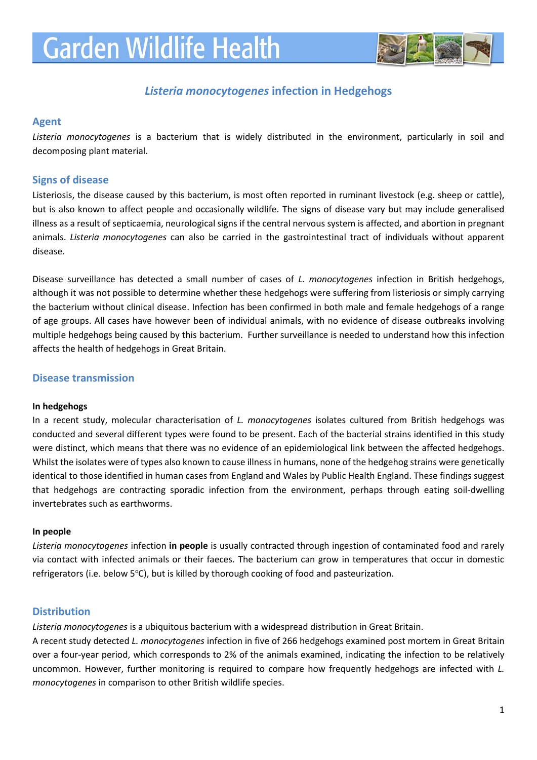

# *Listeria monocytogenes* **infection in Hedgehogs**

#### **Agent**

*Listeria monocytogenes* is a bacterium that is widely distributed in the environment, particularly in soil and decomposing plant material.

#### **Signs of disease**

Listeriosis, the disease caused by this bacterium, is most often reported in ruminant livestock (e.g. sheep or cattle), but is also known to affect people and occasionally wildlife. The signs of disease vary but may include generalised illness as a result of septicaemia, neurological signs if the central nervous system is affected, and abortion in pregnant animals. *Listeria monocytogenes* can also be carried in the gastrointestinal tract of individuals without apparent disease.

Disease surveillance has detected a small number of cases of *L. monocytogenes* infection in British hedgehogs, although it was not possible to determine whether these hedgehogs were suffering from listeriosis or simply carrying the bacterium without clinical disease. Infection has been confirmed in both male and female hedgehogs of a range of age groups. All cases have however been of individual animals, with no evidence of disease outbreaks involving multiple hedgehogs being caused by this bacterium. Further surveillance is needed to understand how this infection affects the health of hedgehogs in Great Britain.

### **Disease transmission**

#### **In hedgehogs**

In a recent study, molecular characterisation of *L. monocytogenes* isolates cultured from British hedgehogs was conducted and several different types were found to be present. Each of the bacterial strains identified in this study were distinct, which means that there was no evidence of an epidemiological link between the affected hedgehogs. Whilst the isolates were of types also known to cause illness in humans, none of the hedgehog strains were genetically identical to those identified in human cases from England and Wales by Public Health England. These findings suggest that hedgehogs are contracting sporadic infection from the environment, perhaps through eating soil-dwelling invertebrates such as earthworms.

#### **In people**

*Listeria monocytogenes* infection **in people** is usually contracted through ingestion of contaminated food and rarely via contact with infected animals or their faeces. The bacterium can grow in temperatures that occur in domestic refrigerators (i.e. below  $5^{\circ}$ C), but is killed by thorough cooking of food and pasteurization.

### **Distribution**

*Listeria monocytogenes* is a ubiquitous bacterium with a widespread distribution in Great Britain.

A recent study detected *L. monocytogenes* infection in five of 266 hedgehogs examined post mortem in Great Britain over a four-year period, which corresponds to 2% of the animals examined, indicating the infection to be relatively uncommon. However, further monitoring is required to compare how frequently hedgehogs are infected with *L. monocytogenes* in comparison to other British wildlife species.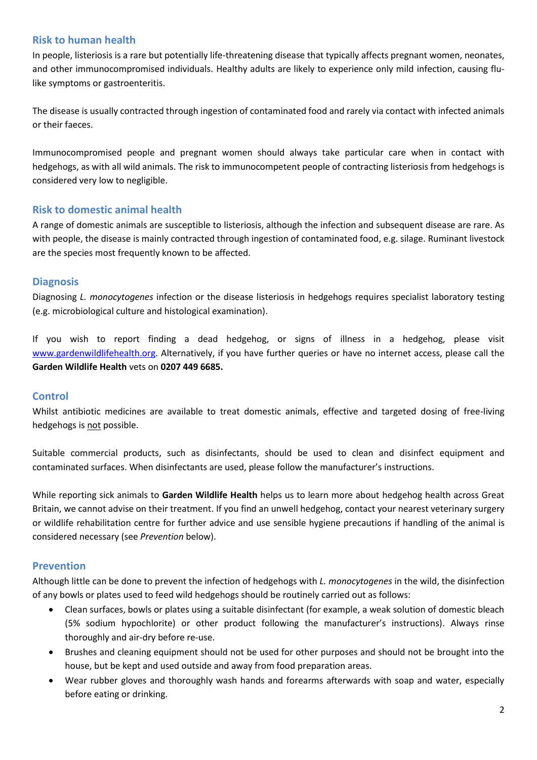# **Risk to human health**

In people, listeriosis is a rare but potentially life-threatening disease that typically affects pregnant women, neonates, and other immunocompromised individuals. Healthy adults are likely to experience only mild infection, causing flulike symptoms or gastroenteritis.

The disease is usually contracted through ingestion of contaminated food and rarely via contact with infected animals or their faeces.

Immunocompromised people and pregnant women should always take particular care when in contact with hedgehogs, as with all wild animals. The risk to immunocompetent people of contracting listeriosis from hedgehogs is considered very low to negligible.

### **Risk to domestic animal health**

A range of domestic animals are susceptible to listeriosis, although the infection and subsequent disease are rare. As with people, the disease is mainly contracted through ingestion of contaminated food, e.g. silage. Ruminant livestock are the species most frequently known to be affected.

### **Diagnosis**

Diagnosing *L. monocytogenes* infection or the disease listeriosis in hedgehogs requires specialist laboratory testing (e.g. microbiological culture and histological examination).

If you wish to report finding a dead hedgehog, or signs of illness in a hedgehog, please visit [www.gardenwildlifehealth.org.](http://www.gardenwildlifehealth.org/) Alternatively, if you have further queries or have no internet access, please call the **Garden Wildlife Health** vets on **0207 449 6685.**

#### **Control**

Whilst antibiotic medicines are available to treat domestic animals, effective and targeted dosing of free-living hedgehogs is not possible.

Suitable commercial products, such as disinfectants, should be used to clean and disinfect equipment and contaminated surfaces. When disinfectants are used, please follow the manufacturer's instructions.

While reporting sick animals to **Garden Wildlife Health** helps us to learn more about hedgehog health across Great Britain, we cannot advise on their treatment. If you find an unwell hedgehog, contact your nearest veterinary surgery or wildlife rehabilitation centre for further advice and use sensible hygiene precautions if handling of the animal is considered necessary (see *Prevention* below).

# **Prevention**

Although little can be done to prevent the infection of hedgehogs with *L. monocytogenes* in the wild, the disinfection of any bowls or plates used to feed wild hedgehogs should be routinely carried out as follows:

- Clean surfaces, bowls or plates using a suitable disinfectant (for example, a weak solution of domestic bleach (5% sodium hypochlorite) or other product following the manufacturer's instructions). Always rinse thoroughly and air-dry before re-use.
- Brushes and cleaning equipment should not be used for other purposes and should not be brought into the house, but be kept and used outside and away from food preparation areas.
- Wear rubber gloves and thoroughly wash hands and forearms afterwards with soap and water, especially before eating or drinking.